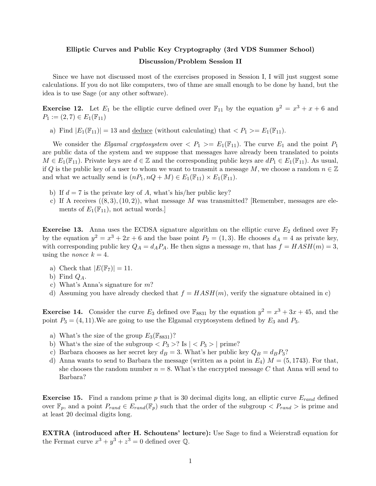## Elliptic Curves and Public Key Cryptography (3rd VDS Summer School) Discussion/Problem Session II

Since we have not discussed most of the exercises proposed in Session I, I will just suggest some calculations. If you do not like computers, two of thme are small enough to be done by hand, but the idea is to use Sage (or any other software).

**Exercise 12.** Let  $E_1$  be the elliptic curve defined over  $\mathbb{F}_{11}$  by the equation  $y^2 = x^3 + x + 6$  and  $P_1 := (2, 7) \in E_1(\mathbb{F}_{11})$ 

a) Find  $|E_1(\mathbb{F}_{11})| = 13$  and <u>deduce</u> (without calculating) that  $\langle P_1 \rangle = E_1(\mathbb{F}_{11})$ .

We consider the *Elgamal cryptosystem* over  $\langle P_1 \rangle = E_1(\mathbb{F}_{11})$ . The curve  $E_1$  and the point  $P_1$ are public data of the system and we suppose that messages have already been translated to points  $M \in E_1(\mathbb{F}_{11})$ . Private keys are  $d \in \mathbb{Z}$  and the corresponding public keys are  $dP_1 \in E_1(\mathbb{F}_{11})$ . As usual, if Q is the public key of a user to whom we want to transmit a message M, we choose a random  $n \in \mathbb{Z}$ and what we actually send is  $(nP_1, nQ + M) \in E_1(\mathbb{F}_{11}) \times E_1(\mathbb{F}_{11}).$ 

- b) If  $d = 7$  is the private key of A, what's his/her public key?
- c) If A receives  $((8,3),(10,2))$ , what message M was transmitted? [Remember, messages are elements of  $E_1(\mathbb{F}_{11})$ , not actual words.]

**Exercise 13.** Anna uses the ECDSA signature algorithm on the elliptic curve  $E_2$  defined over  $\mathbb{F}_7$ by the equation  $y^2 = x^3 + 2x + 6$  and the base point  $P_2 = (1,3)$ . He chooses  $d_A = 4$  as private key, with corresponding public key  $Q_A = d_A P_A$ . He then signs a message *m*, that has  $f = HASH(m) = 3$ , using the *nonce*  $k = 4$ .

- a) Check that  $|E(\mathbb{F}_7)| = 11$ .
- b) Find  $Q_A$ .
- c) What's Anna's signature for *m*?
- d) Assuming you have already checked that  $f = HASH(m)$ , verify the signature obtained in c)

**Exercise 14.** Consider the curve  $E_3$  defined ove  $\mathbb{F}_{8831}$  by the equation  $y^2 = x^3 + 3x + 45$ , and the point  $P_3 = (4, 11)$ . We are going to use the Elgamal cryptosystem defined by  $E_3$  and  $P_3$ .

- a) What's the size of the group  $E_3(\mathbb{F}_{8831})$ ?
- b) What's the size of the subgroup  $\langle P_3 \rangle$ ? Is  $| \langle P_3 \rangle |$  prime?
- c) Barbara chooses as her secret key  $d_B = 3$ . What's her public key  $Q_B = d_B P_3$ ?
- d) Anna wants to send to Barbara the message (written as a point in  $E_4$ )  $M = (5, 1743)$ . For that, she chooses the random number  $n = 8$ . What's the encrypted message C that Anna will send to Barbara?

Exercise 15. Find a random prime *p* that is 30 decimal digits long, an elliptic curve *Erand* defined over  $\mathbb{F}_p$ , and a point  $P_{rand} \in E_{rand}(\mathbb{F}_p)$  such that the order of the subgroup  $\langle P_{rand} \rangle$  is prime and at least 20 decimal digits long.

EXTRA (introduced after H. Schoutens' lecture): Use Sage to find a Weierstraß equation for the Fermat curve  $x^3 + y^3 + z^3 = 0$  defined over  $\mathbb{Q}$ .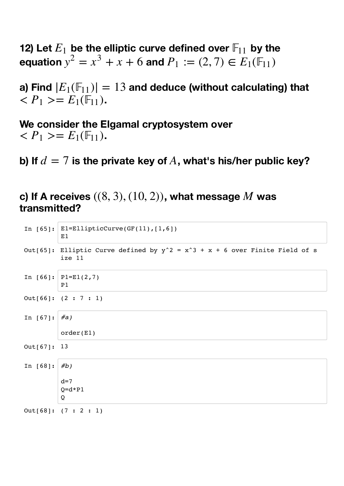**12) Let**  $E_1$  be the elliptic curve defined over  $\mathbb{F}_{11}$  by the **equation**  $y^2 = x^3 + x + 6$  and  $P_1 := (2, 7) \in E_1(\mathbb{F}_{11})$ 

a) Find  $|E_1(\mathbb{F}_{11})| = 13$  and deduce (without calculating) that  $\langle P_1 \rangle = E_1(\mathbb{F}_{11}).$ 

**We consider the Elgamal cryptosystem over**   $\langle P_1 \rangle = E_1(\mathbb{F}_{11}).$ 

b) If  $d=7$  is the private key of  $A$ , what's his/her public key?

**c)** If A receives  $((8, 3), (10, 2))$ , what message  $M$  was **transmitted?**

```
In [65]: El=EllipticCurve(GF(11),[1,6])
         E1
In [66]: P1=E1(2,7)
         P1
In [67]: #a)
         order(E1)
In [68]: #b)
         d=7O=d*P1Q
Out[65]: Elliptic Curve defined by y^2 = x^3 + x + 6 over Finite Field of s
         ize 11
Out[66]: (2 : 7 : 1)
Out[67]: 13
```
Out[68]: (7 : 2 : 1)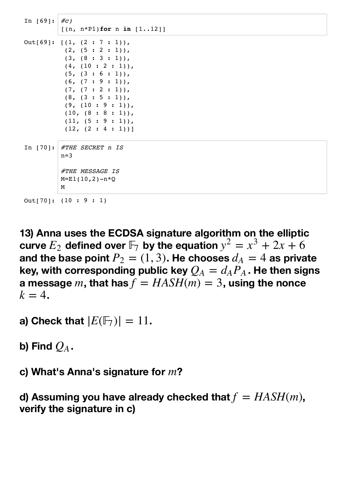```
In [69]: #c)
         [(n, n*P1)for n in [1..12]]
In [70]: #THE SECRET n IS
         n=3#THE MESSAGE IS
         M=E1(10,2)-n*QM
Out[69]: [(1, (2 : 7 : 1)),(2, (5 : 2 : 1)),(3, (8 : 3 : 1)),(4, (10 : 2 : 1)),(5, (3 : 6 : 1)),(6, (7:9:1)),(7, (7: 2: 1)),(8, (3 : 5 : 1)),(9, (10 : 9 : 1)),(10, (8 : 8 : 1)),(11, (5 : 9 : 1)),(12, (2 : 4 : 1))]Out[70]: (10 : 9 : 1)
```
**13) Anna uses the ECDSA signature algorithm on the elliptic curve**  $E_2$  defined over  $\mathbb{F}_7$  by the equation  $y^2 = x^3 + 2x + 6$ and the base point  $P_2=(1,3)$ . He chooses  $d_A=4$  as private key, with corresponding public key  $\mathcal{Q}_A = d_A P_A$  . He then signs  $\boldsymbol{a}$  message  $m$ , that has  $f = HASH(m) = 3$ , using the nonce  $k=4$ .

**a)** Check that  $|E(\mathbb{F}_7)| = 11$ .

b) Find  $\overline{Q_A}$  .

c) What's Anna's signature for  $m$ ?

**d) Assuming you have already checked that**  $f = HASH(m)$ , **verify the signature in c)**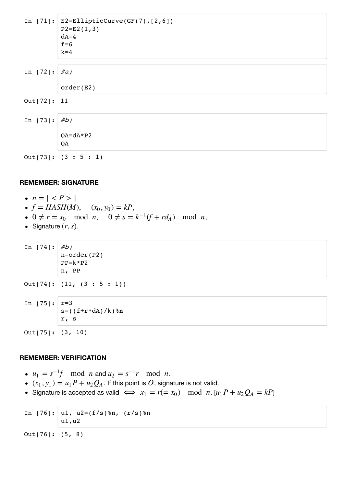|             | In [71]: $E2 = EllipticCurve(GF(7), [2, 6])$<br>$P2 = E2(1,3)$<br>$dA=4$<br>$f=6$<br>$k=4$ |
|-------------|--------------------------------------------------------------------------------------------|
| In $[72]$ : | #a)                                                                                        |
|             | order(E2)                                                                                  |
| Out[72]: 11 |                                                                                            |
| In $[73]$ : | #b)                                                                                        |
|             | $QA = dA * P2$<br>QA                                                                       |
|             | Out[73]: (3 : 5 : 1)                                                                       |

## **REMEMBER: SIGNATURE**

- $n = | < P > |$
- $f = HASH(M), (x_0, y_0) = kP,$
- 0 ≠  $r = x_0$  mod *n*, 0 ≠  $s = k^{-1}(f + rd_A)$  mod *n*,
- Signature  $(r, s)$ .

```
In [74]: #b)
         n=order(P2)
         PP=k*P2
         n, PP
```

```
Out[74]: (11, (3 : 5 : 1))
```
In [75]: 
$$
r=3
$$
  
s=((f+r\*dA)/k)\*n  
r, s

Out[75]: (3, 10)

## **REMEMBER: VERIFICATION**

- $u_1 = s^{-1}f \mod n$  and  $u_2 = s^{-1}r \mod n$ .
- $(X_1, y_1) = u_1 P + u_2 Q_A$ . If this point is  $O$ , signature is not valid.
- Signature is accepted as valid  $\iff x_1 = r(= x_0) \mod n$ .  $[u_1 P + u_2 Q_A = kP]$

```
In [76]: u1, u2=(f/s)%n, (r/s)%n
         u1,u2
```
Out[76]: (5, 8)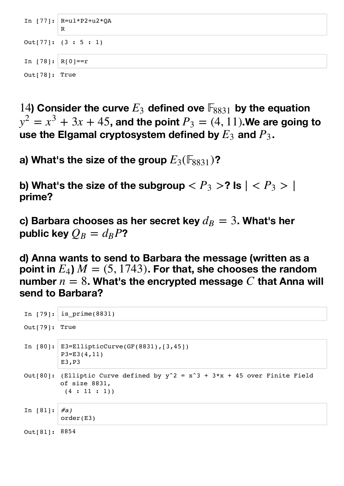```
In [77]: R=ul*P2+u2*QAR
In [78]: |R[0]=rOut[77]: (3 : 5 : 1)
Out[78]: True
```
14) Consider the curve  $E_3$  defined ove  $\mathbb{F}_{8831}$  by the equation  $y^2 = x^3 + 3x + 45$ , and the point  $P_3 = (4, 11)$ .We are going to use the Elgamal cryptosystem defined by  $E_3$  and  $P_3$ .

a) What's the size of the group  $E_3(\mathbb{F}_{8831})$ ?

**b)** What's the size of the subgroup  $< P_3 >$ ? Is  $| < P_3 > |$ **prime?**

 $\bf c$ ) Barbara chooses as her secret key  $d_B=3$ . What's her public key  $\mathcal{Q}_B = d_B P$ ?

**d) Anna wants to send to Barbara the message (written as a**  $\mathbf{point}$  in  $E_4$ )  $M = (5, 1743)$ . For that, she chooses the random  $n$  mumber  $n=8$ . What's the encrypted message  $C$  that Anna will **send to Barbara?**

```
In [79]: is prime(8831)
In [80]: E3=EllipticCurve(GF(8831),[3,45])
         P3=E3(4,11)
         E3,P3
In [81]: #a)
         order(E3)
Out[79]: True
Out[80]: (Elliptic Curve defined by y^2 = x^3 + 3*x + 45 over Finite Field
         of size 8831,
          (4 : 11 : 1)Out[81]: 8854
```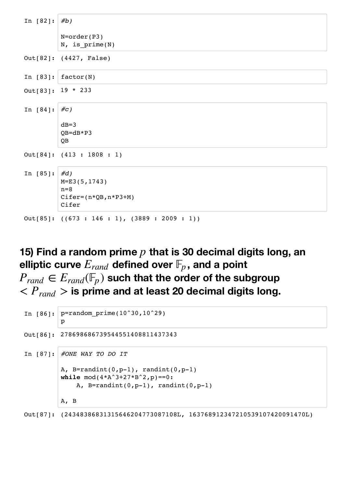| In $[82]:   #b)$     |                                                 |
|----------------------|-------------------------------------------------|
|                      | $N=order(P3)$<br>$N$ , is_prime(N)              |
|                      | Out[82]: (4427, False)                          |
| In $[83]:$           | factor(N)                                       |
| Out [83]: $19 * 233$ |                                                 |
| In $[84]$ :          | #c)                                             |
|                      | $dB=3$                                          |
|                      | $QB=dB*P3$                                      |
|                      | QB                                              |
|                      | Out[84]: (413 : 1808 : 1)                       |
| In $[85]$ :          | #d)                                             |
|                      | $M = E3(5, 1743)$                               |
|                      | $n=8$                                           |
|                      | $Cifer=(n*QB,n*P3+M)$                           |
|                      | Cifer                                           |
|                      | Out[85]: $((673 : 146 : 1), (3889 : 2009 : 1))$ |

**15) Find a random prime**  $p$  **that is 30 decimal digits long, an** elliptic curve  $E_{rand}$  defined over  $\mathbb{F}_p$  , and a point  ${P}_{rand} \in {E}_{rand}(\mathbb{F}_p)$  such that the order of the subgroup  $P_{rand}$   $>$  is prime and at least 20 decimal digits long.

```
In [86]: p=random prime(10^30,10^29)
         p
In [87]: #ONE WAY TO DO IT
         A, B=randint(0, p-1), randint(0, p-1)
         while mod(4*A^3+27*B^2,p) == 0:
             A, B=randint(0, p-1), randint(0, p-1)
         A, B
Out[86]: 278698686739544551408811437343
```
Out[87]: (24348386831315646204773087108L, 163768912347210539107420091470L)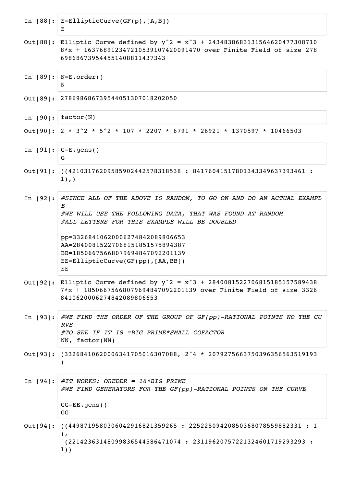|            | In $[88]:$ $E=EllipticCurve(GF(p), [A, B])$<br>Е                                                                                                                                                                                                                                                                                                  |
|------------|---------------------------------------------------------------------------------------------------------------------------------------------------------------------------------------------------------------------------------------------------------------------------------------------------------------------------------------------------|
| Out[88]:   | Elliptic Curve defined by $y^2 = x^3 + 2434838683131564620477308710$<br>8*x + 163768912347210539107420091470 over Finite Field of size 278<br>698686739544551408811437343                                                                                                                                                                         |
| In $[89]:$ | $ N=E{\rm .order}()$<br>N                                                                                                                                                                                                                                                                                                                         |
|            | Out[89]: 278698686739544051307018202050                                                                                                                                                                                                                                                                                                           |
| In $[90]:$ | factor(N)                                                                                                                                                                                                                                                                                                                                         |
|            | Out[90]: 2 * 3^2 * 5^2 * 107 * 2207 * 6791 * 26921 * 1370597 * 10466503                                                                                                                                                                                                                                                                           |
|            | In $[91]:  G=E\text{-gens}( )$<br>G                                                                                                                                                                                                                                                                                                               |
|            | Out[91]: ((42103176209585902442578318538: 84176041517801343349637393461:<br>$1)$ , $)$                                                                                                                                                                                                                                                            |
| In $[92]:$ | #SINCE ALL OF THE ABOVE IS RANDOM, TO GO ON AND DO AN ACTUAL EXAMPL<br>Е<br>#WE WILL USE THE FOLLOWING DATA, THAT WAS FOUND AT RANDOM<br>#ALL LETTERS FOR THIS EXAMPLE WILL BE DOUBLED<br>pp=33268410620006274842089806653<br>AA=28400815227068151851575894387<br>BB=18506675668079694847092201139<br>$EE = EllipticCurve(GF(pp), [AA,BB])$<br>EE |
|            | Out[92]: Elliptic Curve defined by $y^2 = x^3 + 2840081522706815185157589438$<br>7*x + 18506675668079694847092201139 over Finite Field of size 3326<br>8410620006274842089806653                                                                                                                                                                  |
| In $[93]:$ | #WE FIND THE ORDER OF THE GROUP OF GF(pp)-RATIONAL POINTS NO THE CU<br><b>RVE</b><br>#TO SEE IF IT IS =BIG PRIME*SMALL COFACTOR<br>NN, factor(NN)                                                                                                                                                                                                 |
|            | Out[93]: $(33268410620006341705016307088, 2^4 * 2079275663750396356563519193$                                                                                                                                                                                                                                                                     |
|            | In [94]: #IT WORKS: OREDER = $16*BIG$ PRIME<br>#WE FIND GENERATORS FOR THE GF(pp)-RATIONAL POINTS ON THE CURVE<br>$GG=EE$ .gens()<br>GG                                                                                                                                                                                                           |
|            | Out[94]: ((4498719580306042916821359265 : 22522509420850368078559882331 : 1<br>$)$ ,<br>(22142363148099836544586471074 : 23119620757221324601719293293 :<br>$1)$ )                                                                                                                                                                                |

r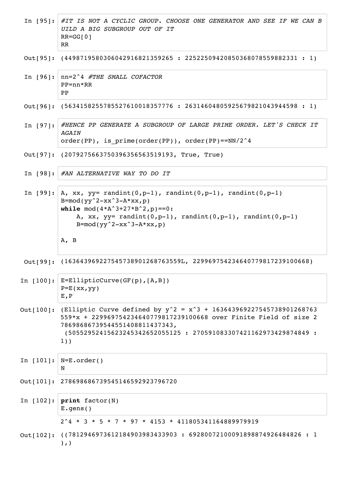|              | In [95]: #IT IS NOT A CYCLIC GROUP. CHOOSE ONE GENERATOR AND SEE IF WE CAN B<br>UILD A BIG SUBGROUP OUT OF IT<br>$RR = GG[0]$<br><b>RR</b>                                                                                                                       |
|--------------|------------------------------------------------------------------------------------------------------------------------------------------------------------------------------------------------------------------------------------------------------------------|
|              | Out[95]: $(4498719580306042916821359265 : 22522509420850368078559882331 : 1)$                                                                                                                                                                                    |
|              | In $[96]: $ nn=2^4 #THE SMALL COFACTOR<br>$PP = nn * RR$<br>PP                                                                                                                                                                                                   |
|              | Out[96]: (5634158255785527610018357776: 26314604805925679821043944598: 1)                                                                                                                                                                                        |
|              | In [97]: #HENCE PP GENERATE A SUBGROUP OF LARGE PRIME ORDER. LET'S CHECK IT<br>AGAIN<br>order(PP), is $prime($ PP)), order(PP)) order(PP) == $NN/2^4$                                                                                                            |
|              | Out[97]: (2079275663750396356563519193, True, True)                                                                                                                                                                                                              |
|              | In $[98]:$ #AN ALTERNATIVE WAY TO DO IT                                                                                                                                                                                                                          |
|              | In [99]: $A$ , xx, yy= randint(0,p-1), randint(0,p-1), randint(0,p-1)<br>$B = mod(yy^2 - xx^3 - A*xx, p)$<br>while $mod(4*A^3+27*B^2, p) == 0$ :<br>A, xx, $yy=$ randint(0,p-1), randint(0,p-1), randint(0,p-1)<br>$B = mod(yy^2 - xx^3 - A*xx, p)$<br>$A$ , $B$ |
|              | Out[99]: (163643969227545738901268763559L, 229969754234640779817239100668)                                                                                                                                                                                       |
| In $[100]$ : | $E=EllipticCurve(GF(p), [A, B])$<br>$P=E(xx,YY)$<br>E, P                                                                                                                                                                                                         |
| Out[100]:    | (Elliptic Curve defined by $y^2 = x^3 + 163643969227545738901268763$<br>559*x + 229969754234640779817239100668 over Finite Field of size 2<br>78698686739544551408811437343,<br>(50552952415623245342652055125 : 270591083307421162973429874849 :<br>$1)$ )      |
|              | In $[101]:$ $N=E{\cdot}order()$<br>N                                                                                                                                                                                                                             |
|              | Out[101]: 278698686739545146592923796720                                                                                                                                                                                                                         |
|              |                                                                                                                                                                                                                                                                  |
|              | In $[102]:$ print factor(N)<br>$E.$ gens $()$                                                                                                                                                                                                                    |
|              | $2^4 \times 3 \times 5 \times 7 \times 97 \times 4153 \times 411805341164889979919$                                                                                                                                                                              |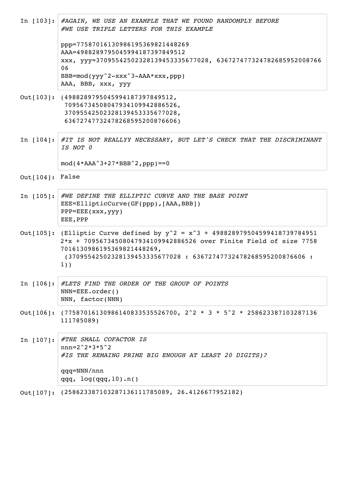|                   | In [103]: #AGAIN, WE USE AN EXAMPLE THAT WE FOUND RANDOMPLY BEFORE<br>#WE USE TRIPLE LETTERS FOR THIS EXAMPLE<br>ppp=77587016130986195369821448269<br>AAA=4988289795045994187397849512<br>xxx, yyy=37095542502328139453335677028, 636727477324782685952008766<br>06<br>$BBB=mod(yyy^2-xxx^3-AAA*xxx, ppp)$<br>AAA, BBB, xxx, yyy |
|-------------------|----------------------------------------------------------------------------------------------------------------------------------------------------------------------------------------------------------------------------------------------------------------------------------------------------------------------------------|
|                   | Out[103]: (4988289795045994187397849512,<br>70956734508047934109942886526,<br>37095542502328139453335677028,<br>63672747732478268595200876606)                                                                                                                                                                                   |
|                   | In $[104]:$ #IT IS NOT REALLYY NECESSARY, BUT LET'S CHECK THAT THE DISCRIMINANT<br>IS NOT 0<br>$mod(4*AAA^3+27*BBB^2, ppp) == 0$                                                                                                                                                                                                 |
| $Out[104]:$ False |                                                                                                                                                                                                                                                                                                                                  |
| In $[105]:$       | #WE DEFINE THE ELLIPTIC CURVE AND THE BASE POINT<br>EEE=EllipticCurve(GF(ppp), [AAA, BBB])<br>PPP=EEE(xxx, yyy)<br>EEE, PPP                                                                                                                                                                                                      |
|                   | Out[105]: (Elliptic Curve defined by $y^2 = x^3 + 498828979504599418739784951$<br>2*x + 70956734508047934109942886526 over Finite Field of size 7758<br>7016130986195369821448269,<br>(37095542502328139453335677028 : 63672747732478268595200876606 :<br>$1)$ )                                                                 |
|                   | In [106]: #LETS FIND THE ORDER OF THE GROUP OF POINTS<br>$NNN = EEE$ .order()<br>NNN, factor(NNN)                                                                                                                                                                                                                                |
|                   | Out[106]: $(77587016130986140833535526700, 2^2 * 3 * 5^2 * 258623387103287136)$<br>111785089)                                                                                                                                                                                                                                    |
| In $[107]:$       | #THE SMALL COFACTOR IS<br>$nnn=2^2*3*5^2$<br>#IS THE REMAING PRIME BIG ENOUGH AT LEAST 20 DIGITS)?<br>qqq=NNN/nnn<br>$qqq, \log(qqq, 10).n()$                                                                                                                                                                                    |

Out[107]: (258623387103287136111785089, 26.4126677952182)